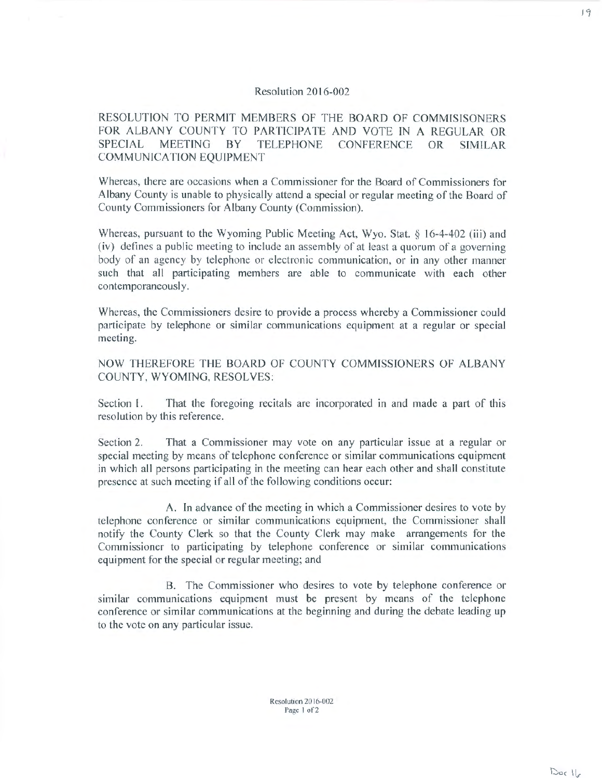## Resolution 2016-002

RESOLUTION TO PERMIT MEMBERS OF THE BOARD OF COMMISISONERS FOR ALBANY COUNTY TO PARTICIPATE AND VOTE IN A REGULAR OR SPECIAL MEETING BY TELEPHONE CONFERENCE OR SIMILAR COMMUNICATION EQUIPMENT

Whereas, there arc occasions when a Commissioner for the Board of Commissioners for Albany County is unable to physically attend a special or regular meeting of the Board of County Commissioners for Albany County (Commission).

Whereas, pursuant to the Wyoming Public Meeting Act, Wyo. Stat. § 16-4-402 (iii) and (iv) defines a public meeting to include an assembly of at least a quorum of a governing body of an agency by telephone or electronic communication, or in any other manner such that all participating members are able to communicate with each other contemporaneously.

Whereas, the Commissioners desire to provide a process whereby a Commissioner could participate by telephone or similar communications equipment at a regular or special meeting.

NOW THEREFORE THE BOARD OF COUNTY COMMISSIONERS OF ALBANY COUNTY, WYOMING, RESOLVES:

Section I. That the foregoing recitals are incorporated in and made a part of this resolution by this reference.

Section 2. That a Commissioner may vote on any particular issue at a regular or special meeting by means of telephone conference or similar communications equipment in which all persons participating in the meeting can hear each other and shall constitute presence at such meeting if all of the following conditions occur:

A. In advance of the meeting in which a Commissioner desires to vote by telephone conference or similar communications equipment, the Commissioner shall notify the County Clerk so that the County Clerk may make arrangements for the Commissioner to participating by telephone conference or similar communications equipment for the special or regular meeting; and

B. The Commissioner who desires to vote by telephone conference or similar communications equipment must be present by means of the telephone conference or similar communications at the beginning and during the debate leading up to the vote on any particular issue.